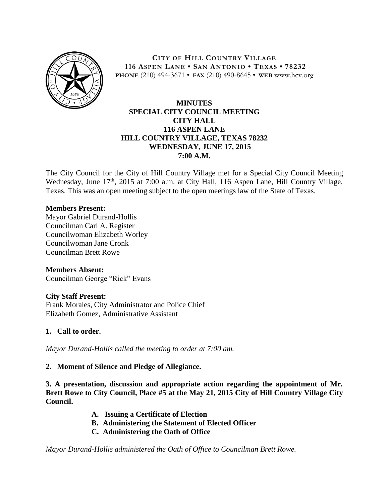

**CITY OF HILL COUNTRY VILLAGE 116 ASPEN LANE • SAN ANTONIO • TEXAS • 78232 PHONE** (210) 494-3671 • **FAX** (210) 490-8645 • **WEB** www.hcv.org

## **MINUTES SPECIAL CITY COUNCIL MEETING CITY HALL 116 ASPEN LANE HILL COUNTRY VILLAGE, TEXAS 78232 WEDNESDAY, JUNE 17, 2015 7:00 A.M.**

The City Council for the City of Hill Country Village met for a Special City Council Meeting Wednesday, June 17<sup>th</sup>, 2015 at 7:00 a.m. at City Hall, 116 Aspen Lane, Hill Country Village, Texas. This was an open meeting subject to the open meetings law of the State of Texas.

#### **Members Present:**

Mayor Gabriel Durand-Hollis Councilman Carl A. Register Councilwoman Elizabeth Worley Councilwoman Jane Cronk Councilman Brett Rowe

#### **Members Absent:**

Councilman George "Rick" Evans

#### **City Staff Present:**

Frank Morales, City Administrator and Police Chief Elizabeth Gomez, Administrative Assistant

#### **1. Call to order.**

*Mayor Durand-Hollis called the meeting to order at 7:00 am.*

#### **2. Moment of Silence and Pledge of Allegiance.**

**3. A presentation, discussion and appropriate action regarding the appointment of Mr. Brett Rowe to City Council, Place #5 at the May 21, 2015 City of Hill Country Village City Council.**

- **A. Issuing a Certificate of Election**
- **B. Administering the Statement of Elected Officer**
- **C. Administering the Oath of Office**

*Mayor Durand-Hollis administered the Oath of Office to Councilman Brett Rowe.*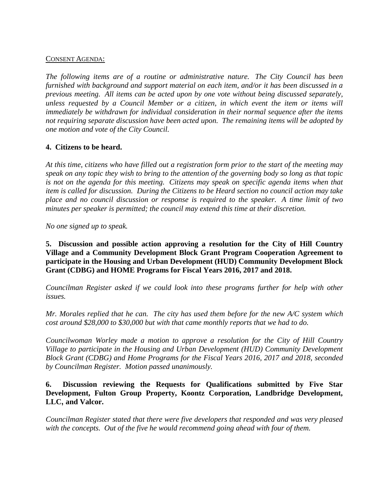#### CONSENT AGENDA:

*The following items are of a routine or administrative nature. The City Council has been furnished with background and support material on each item, and/or it has been discussed in a previous meeting. All items can be acted upon by one vote without being discussed separately, unless requested by a Council Member or a citizen, in which event the item or items will immediately be withdrawn for individual consideration in their normal sequence after the items not requiring separate discussion have been acted upon. The remaining items will be adopted by one motion and vote of the City Council.*

#### **4. Citizens to be heard.**

*At this time, citizens who have filled out a registration form prior to the start of the meeting may speak on any topic they wish to bring to the attention of the governing body so long as that topic is not on the agenda for this meeting. Citizens may speak on specific agenda items when that item is called for discussion. During the Citizens to be Heard section no council action may take place and no council discussion or response is required to the speaker. A time limit of two minutes per speaker is permitted; the council may extend this time at their discretion.*

*No one signed up to speak.*

**5. Discussion and possible action approving a resolution for the City of Hill Country Village and a Community Development Block Grant Program Cooperation Agreement to participate in the Housing and Urban Development (HUD) Community Development Block Grant (CDBG) and HOME Programs for Fiscal Years 2016, 2017 and 2018.**

*Councilman Register asked if we could look into these programs further for help with other issues.*

*Mr. Morales replied that he can. The city has used them before for the new A/C system which cost around \$28,000 to \$30,000 but with that came monthly reports that we had to do.*

*Councilwoman Worley made a motion to approve a resolution for the City of Hill Country Village to participate in the Housing and Urban Development (HUD) Community Development Block Grant (CDBG) and Home Programs for the Fiscal Years 2016, 2017 and 2018, seconded by Councilman Register. Motion passed unanimously.* 

### **6. Discussion reviewing the Requests for Qualifications submitted by Five Star Development, Fulton Group Property, Koontz Corporation, Landbridge Development, LLC, and Valcor.**

*Councilman Register stated that there were five developers that responded and was very pleased with the concepts. Out of the five he would recommend going ahead with four of them.*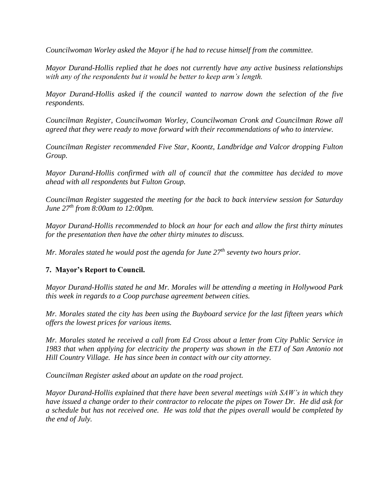*Councilwoman Worley asked the Mayor if he had to recuse himself from the committee.*

*Mayor Durand-Hollis replied that he does not currently have any active business relationships with any of the respondents but it would be better to keep arm's length.*

*Mayor Durand-Hollis asked if the council wanted to narrow down the selection of the five respondents.* 

*Councilman Register, Councilwoman Worley, Councilwoman Cronk and Councilman Rowe all agreed that they were ready to move forward with their recommendations of who to interview.* 

*Councilman Register recommended Five Star, Koontz, Landbridge and Valcor dropping Fulton Group.*

*Mayor Durand-Hollis confirmed with all of council that the committee has decided to move ahead with all respondents but Fulton Group.*

*Councilman Register suggested the meeting for the back to back interview session for Saturday June 27th from 8:00am to 12:00pm.* 

*Mayor Durand-Hollis recommended to block an hour for each and allow the first thirty minutes for the presentation then have the other thirty minutes to discuss.*

*Mr. Morales stated he would post the agenda for June 27th seventy two hours prior.*

## **7. Mayor's Report to Council.**

*Mayor Durand-Hollis stated he and Mr. Morales will be attending a meeting in Hollywood Park this week in regards to a Coop purchase agreement between cities.*

*Mr. Morales stated the city has been using the Buyboard service for the last fifteen years which offers the lowest prices for various items.*

*Mr. Morales stated he received a call from Ed Cross about a letter from City Public Service in 1983 that when applying for electricity the property was shown in the ETJ of San Antonio not Hill Country Village. He has since been in contact with our city attorney.*

*Councilman Register asked about an update on the road project.*

*Mayor Durand-Hollis explained that there have been several meetings with SAW's in which they have issued a change order to their contractor to relocate the pipes on Tower Dr. He did ask for a schedule but has not received one. He was told that the pipes overall would be completed by the end of July.*